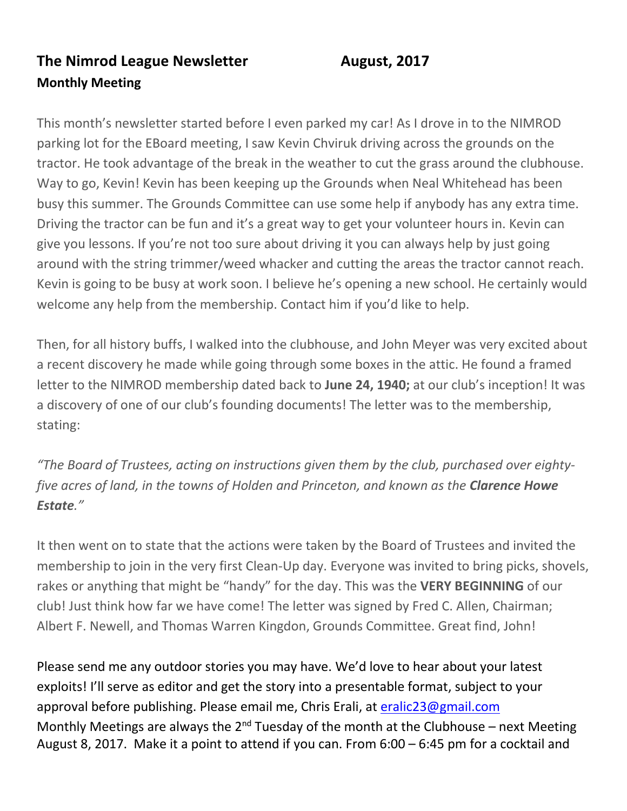## **The Nimrod League Newsletter August, 2017 Monthly Meeting**

This month's newsletter started before I even parked my car! As I drove in to the NIMROD parking lot for the EBoard meeting, I saw Kevin Chviruk driving across the grounds on the tractor. He took advantage of the break in the weather to cut the grass around the clubhouse. Way to go, Kevin! Kevin has been keeping up the Grounds when Neal Whitehead has been busy this summer. The Grounds Committee can use some help if anybody has any extra time. Driving the tractor can be fun and it's a great way to get your volunteer hours in. Kevin can give you lessons. If you're not too sure about driving it you can always help by just going around with the string trimmer/weed whacker and cutting the areas the tractor cannot reach. Kevin is going to be busy at work soon. I believe he's opening a new school. He certainly would welcome any help from the membership. Contact him if you'd like to help.

Then, for all history buffs, I walked into the clubhouse, and John Meyer was very excited about a recent discovery he made while going through some boxes in the attic. He found a framed letter to the NIMROD membership dated back to **June 24, 1940;** at our club's inception! It was a discovery of one of our club's founding documents! The letter was to the membership, stating:

*"The Board of Trustees, acting on instructions given them by the club, purchased over eightyfive acres of land, in the towns of Holden and Princeton, and known as the Clarence Howe Estate."* 

It then went on to state that the actions were taken by the Board of Trustees and invited the membership to join in the very first Clean-Up day. Everyone was invited to bring picks, shovels, rakes or anything that might be "handy" for the day. This was the **VERY BEGINNING** of our club! Just think how far we have come! The letter was signed by Fred C. Allen, Chairman; Albert F. Newell, and Thomas Warren Kingdon, Grounds Committee. Great find, John!

Please send me any outdoor stories you may have. We'd love to hear about your latest exploits! I'll serve as editor and get the story into a presentable format, subject to your approval before publishing. Please email me, Chris Erali, at [eralic23@gmail.com](mailto:eralic23@gmail.com) Monthly Meetings are always the  $2^{nd}$  Tuesday of the month at the Clubhouse – next Meeting August 8, 2017. Make it a point to attend if you can. From 6:00 – 6:45 pm for a cocktail and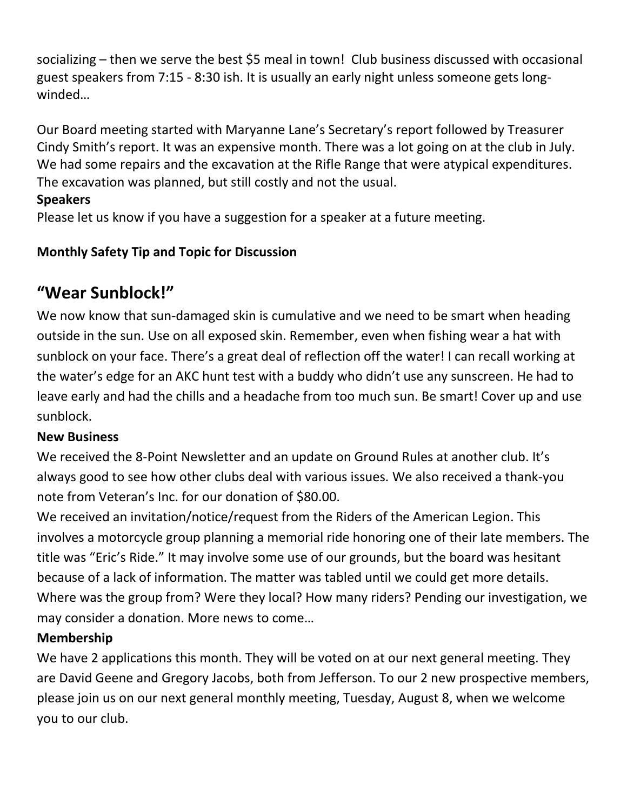socializing – then we serve the best \$5 meal in town! Club business discussed with occasional guest speakers from 7:15 - 8:30 ish. It is usually an early night unless someone gets longwinded…

Our Board meeting started with Maryanne Lane's Secretary's report followed by Treasurer Cindy Smith's report. It was an expensive month. There was a lot going on at the club in July. We had some repairs and the excavation at the Rifle Range that were atypical expenditures. The excavation was planned, but still costly and not the usual.

#### **Speakers**

Please let us know if you have a suggestion for a speaker at a future meeting.

#### **Monthly Safety Tip and Topic for Discussion**

# **"Wear Sunblock!"**

We now know that sun-damaged skin is cumulative and we need to be smart when heading outside in the sun. Use on all exposed skin. Remember, even when fishing wear a hat with sunblock on your face. There's a great deal of reflection off the water! I can recall working at the water's edge for an AKC hunt test with a buddy who didn't use any sunscreen. He had to leave early and had the chills and a headache from too much sun. Be smart! Cover up and use sunblock.

#### **New Business**

We received the 8-Point Newsletter and an update on Ground Rules at another club. It's always good to see how other clubs deal with various issues. We also received a thank-you note from Veteran's Inc. for our donation of \$80.00.

We received an invitation/notice/request from the Riders of the American Legion. This involves a motorcycle group planning a memorial ride honoring one of their late members. The title was "Eric's Ride." It may involve some use of our grounds, but the board was hesitant because of a lack of information. The matter was tabled until we could get more details. Where was the group from? Were they local? How many riders? Pending our investigation, we may consider a donation. More news to come…

#### **Membership**

We have 2 applications this month. They will be voted on at our next general meeting. They are David Geene and Gregory Jacobs, both from Jefferson. To our 2 new prospective members, please join us on our next general monthly meeting, Tuesday, August 8, when we welcome you to our club.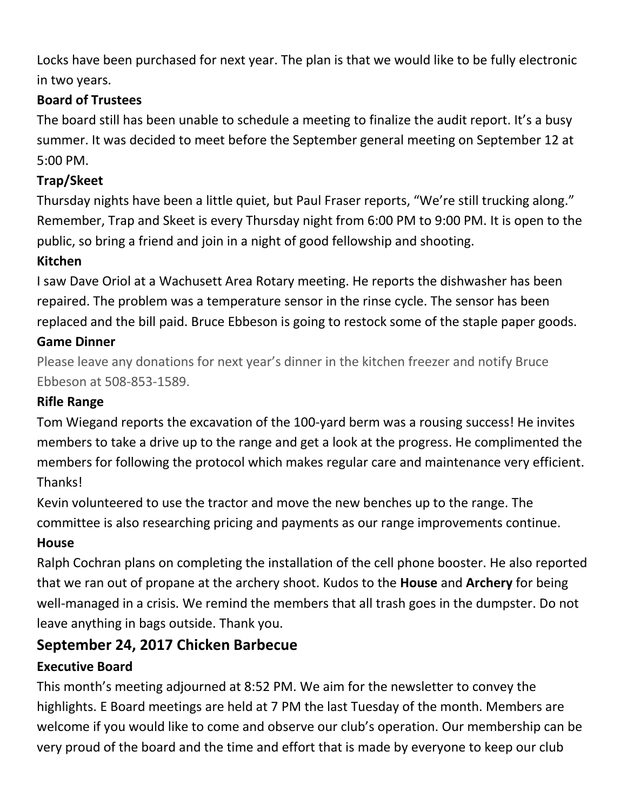Locks have been purchased for next year. The plan is that we would like to be fully electronic in two years.

#### **Board of Trustees**

The board still has been unable to schedule a meeting to finalize the audit report. It's a busy summer. It was decided to meet before the September general meeting on September 12 at 5:00 PM.

#### **Trap/Skeet**

Thursday nights have been a little quiet, but Paul Fraser reports, "We're still trucking along." Remember, Trap and Skeet is every Thursday night from 6:00 PM to 9:00 PM. It is open to the public, so bring a friend and join in a night of good fellowship and shooting.

### **Kitchen**

I saw Dave Oriol at a Wachusett Area Rotary meeting. He reports the dishwasher has been repaired. The problem was a temperature sensor in the rinse cycle. The sensor has been replaced and the bill paid. Bruce Ebbeson is going to restock some of the staple paper goods. **Game Dinner**

Please leave any donations for next year's dinner in the kitchen freezer and notify Bruce Ebbeson at 508-853-1589.

#### **Rifle Range**

Tom Wiegand reports the excavation of the 100-yard berm was a rousing success! He invites members to take a drive up to the range and get a look at the progress. He complimented the members for following the protocol which makes regular care and maintenance very efficient. Thanks!

Kevin volunteered to use the tractor and move the new benches up to the range. The committee is also researching pricing and payments as our range improvements continue. **House**

Ralph Cochran plans on completing the installation of the cell phone booster. He also reported that we ran out of propane at the archery shoot. Kudos to the **House** and **Archery** for being well-managed in a crisis. We remind the members that all trash goes in the dumpster. Do not leave anything in bags outside. Thank you.

## **September 24, 2017 Chicken Barbecue**

#### **Executive Board**

This month's meeting adjourned at 8:52 PM. We aim for the newsletter to convey the highlights. E Board meetings are held at 7 PM the last Tuesday of the month. Members are welcome if you would like to come and observe our club's operation. Our membership can be very proud of the board and the time and effort that is made by everyone to keep our club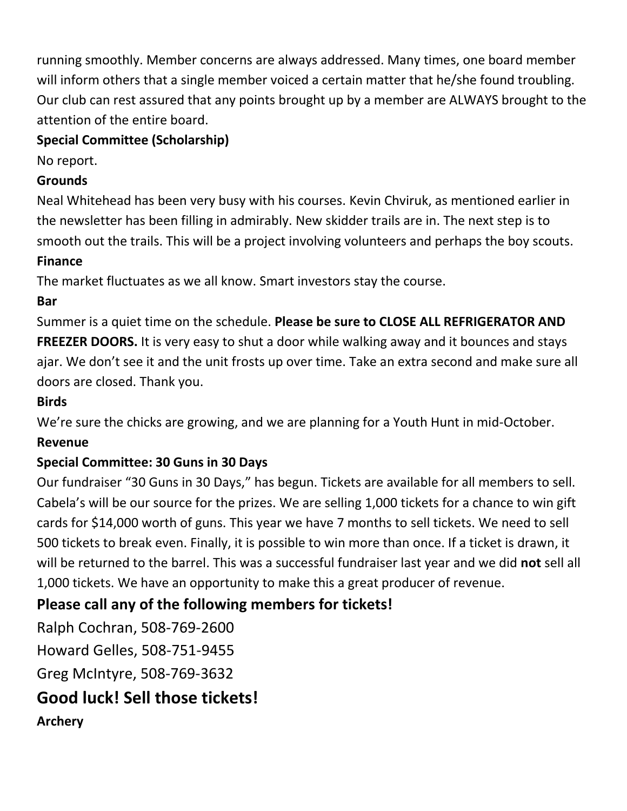running smoothly. Member concerns are always addressed. Many times, one board member will inform others that a single member voiced a certain matter that he/she found troubling. Our club can rest assured that any points brought up by a member are ALWAYS brought to the attention of the entire board.

#### **Special Committee (Scholarship)**

No report.

#### **Grounds**

Neal Whitehead has been very busy with his courses. Kevin Chviruk, as mentioned earlier in the newsletter has been filling in admirably. New skidder trails are in. The next step is to smooth out the trails. This will be a project involving volunteers and perhaps the boy scouts.

#### **Finance**

The market fluctuates as we all know. Smart investors stay the course.

## **Bar**

Summer is a quiet time on the schedule. **Please be sure to CLOSE ALL REFRIGERATOR AND FREEZER DOORS.** It is very easy to shut a door while walking away and it bounces and stays ajar. We don't see it and the unit frosts up over time. Take an extra second and make sure all doors are closed. Thank you.

#### **Birds**

We're sure the chicks are growing, and we are planning for a Youth Hunt in mid-October.

#### **Revenue**

#### **Special Committee: 30 Guns in 30 Days**

Our fundraiser "30 Guns in 30 Days," has begun. Tickets are available for all members to sell. Cabela's will be our source for the prizes. We are selling 1,000 tickets for a chance to win gift cards for \$14,000 worth of guns. This year we have 7 months to sell tickets. We need to sell 500 tickets to break even. Finally, it is possible to win more than once. If a ticket is drawn, it will be returned to the barrel. This was a successful fundraiser last year and we did **not** sell all 1,000 tickets. We have an opportunity to make this a great producer of revenue.

# **Please call any of the following members for tickets!**

Ralph Cochran, 508-769-2600

Howard Gelles, 508-751-9455

Greg McIntyre, 508-769-3632

# **Good luck! Sell those tickets!**

**Archery**